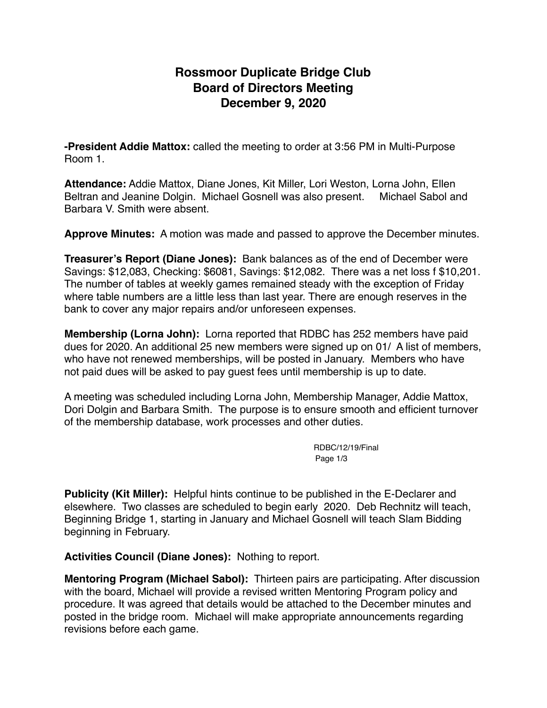# **Rossmoor Duplicate Bridge Club Board of Directors Meeting December 9, 2020**

**-President Addie Mattox:** called the meeting to order at 3:56 PM in Multi-Purpose Room 1.

**Attendance:** Addie Mattox, Diane Jones, Kit Miller, Lori Weston, Lorna John, Ellen Beltran and Jeanine Dolgin. Michael Gosnell was also present. Michael Sabol and Barbara V. Smith were absent.

**Approve Minutes:** A motion was made and passed to approve the December minutes.

**Treasurer's Report (Diane Jones):** Bank balances as of the end of December were Savings: \$12,083, Checking: \$6081, Savings: \$12,082. There was a net loss f \$10,201. The number of tables at weekly games remained steady with the exception of Friday where table numbers are a little less than last year. There are enough reserves in the bank to cover any major repairs and/or unforeseen expenses.

**Membership (Lorna John):** Lorna reported that RDBC has 252 members have paid dues for 2020. An additional 25 new members were signed up on 01/ A list of members, who have not renewed memberships, will be posted in January. Members who have not paid dues will be asked to pay guest fees until membership is up to date.

A meeting was scheduled including Lorna John, Membership Manager, Addie Mattox, Dori Dolgin and Barbara Smith. The purpose is to ensure smooth and efficient turnover of the membership database, work processes and other duties.

> RDBC/12/19/Final Page 1/3

**Publicity (Kit Miller):** Helpful hints continue to be published in the E-Declarer and elsewhere. Two classes are scheduled to begin early 2020. Deb Rechnitz will teach, Beginning Bridge 1, starting in January and Michael Gosnell will teach Slam Bidding beginning in February.

**Activities Council (Diane Jones):** Nothing to report.

**Mentoring Program (Michael Sabol):** Thirteen pairs are participating. After discussion with the board, Michael will provide a revised written Mentoring Program policy and procedure. It was agreed that details would be attached to the December minutes and posted in the bridge room. Michael will make appropriate announcements regarding revisions before each game.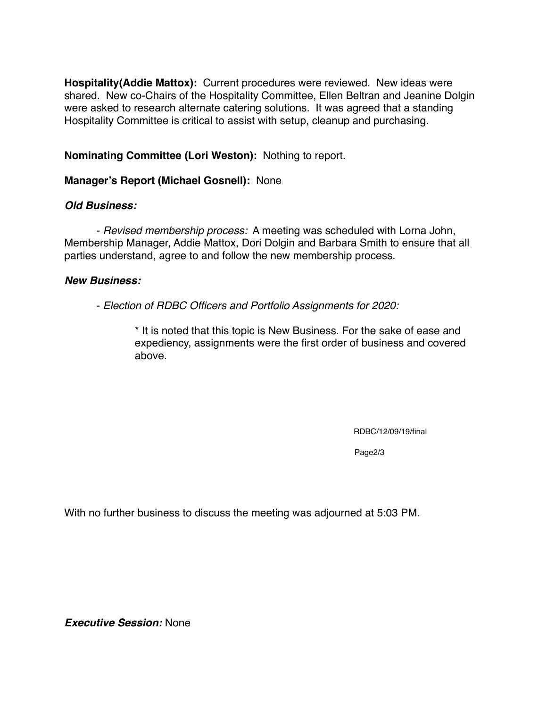**Hospitality(Addie Mattox):** Current procedures were reviewed. New ideas were shared. New co-Chairs of the Hospitality Committee, Ellen Beltran and Jeanine Dolgin were asked to research alternate catering solutions. It was agreed that a standing Hospitality Committee is critical to assist with setup, cleanup and purchasing.

**Nominating Committee (Lori Weston):** Nothing to report.

### **Manager's Report (Michael Gosnell):** None

### *Old Business:*

- *Revised membership process:* A meeting was scheduled with Lorna John, Membership Manager, Addie Mattox, Dori Dolgin and Barbara Smith to ensure that all parties understand, agree to and follow the new membership process.

### *New Business:*

- *Election of RDBC Officers and Portfolio Assignments for 2020:* 

\* It is noted that this topic is New Business. For the sake of ease and expediency, assignments were the first order of business and covered above.

RDBC/12/09/19/final

Page2/3

With no further business to discuss the meeting was adjourned at 5:03 PM.

*Executive Session:* None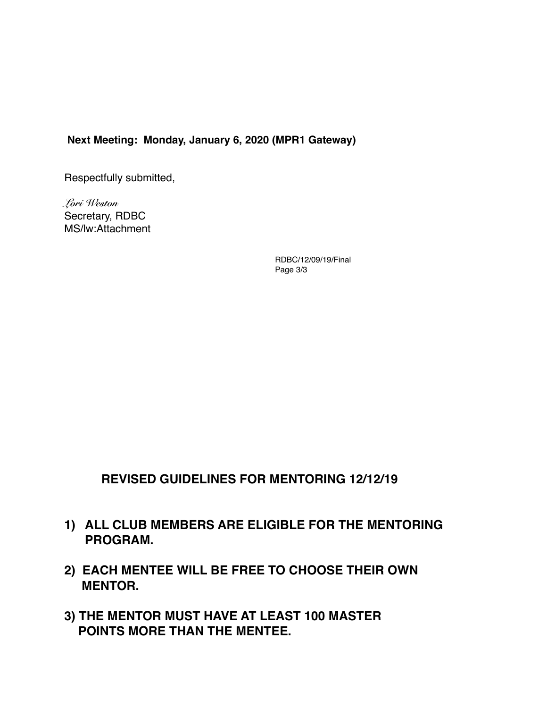#### **Next Meeting: Monday, January 6, 2020 (MPR1 Gateway)**

Respectfully submitted,

*Lori Weston*  Secretary, RDBC MS/lw:Attachment

> RDBC/12/09/19/Final Page 3/3

## **REVISED GUIDELINES FOR MENTORING 12/12/19**

- **1) ALL CLUB MEMBERS ARE ELIGIBLE FOR THE MENTORING PROGRAM.**
- **2) EACH MENTEE WILL BE FREE TO CHOOSE THEIR OWN MENTOR.**
- **3) THE MENTOR MUST HAVE AT LEAST 100 MASTER POINTS MORE THAN THE MENTEE.**